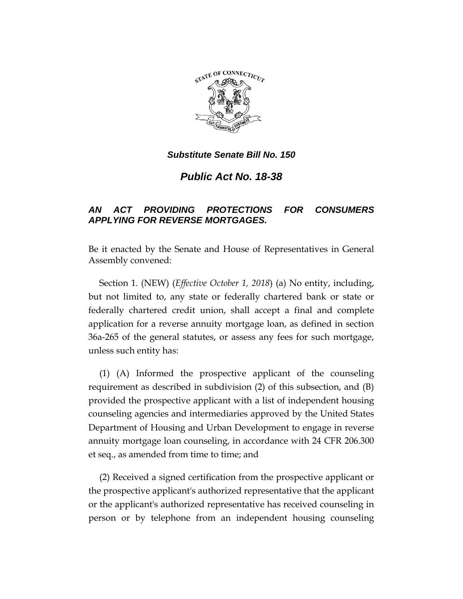

*Substitute Senate Bill No. 150*

*Public Act No. 18-38*

## *AN ACT PROVIDING PROTECTIONS FOR CONSUMERS APPLYING FOR REVERSE MORTGAGES.*

Be it enacted by the Senate and House of Representatives in General Assembly convened:

Section 1. (NEW) (*Effective October 1, 2018*) (a) No entity, including, but not limited to, any state or federally chartered bank or state or federally chartered credit union, shall accept a final and complete application for a reverse annuity mortgage loan, as defined in section 36a-265 of the general statutes, or assess any fees for such mortgage, unless such entity has:

(1) (A) Informed the prospective applicant of the counseling requirement as described in subdivision (2) of this subsection, and (B) provided the prospective applicant with a list of independent housing counseling agencies and intermediaries approved by the United States Department of Housing and Urban Development to engage in reverse annuity mortgage loan counseling, in accordance with 24 CFR 206.300 et seq., as amended from time to time; and

(2) Received a signed certification from the prospective applicant or the prospective applicant's authorized representative that the applicant or the applicant's authorized representative has received counseling in person or by telephone from an independent housing counseling